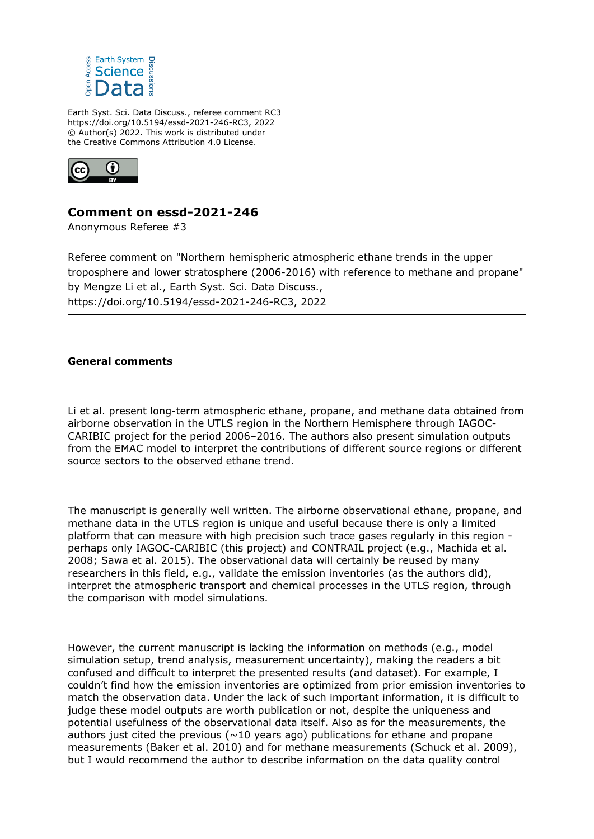

Earth Syst. Sci. Data Discuss., referee comment RC3 https://doi.org/10.5194/essd-2021-246-RC3, 2022 © Author(s) 2022. This work is distributed under the Creative Commons Attribution 4.0 License.



# **Comment on essd-2021-246**

Anonymous Referee #3

Referee comment on "Northern hemispheric atmospheric ethane trends in the upper troposphere and lower stratosphere (2006-2016) with reference to methane and propane" by Mengze Li et al., Earth Syst. Sci. Data Discuss., https://doi.org/10.5194/essd-2021-246-RC3, 2022

## **General comments**

Li et al. present long-term atmospheric ethane, propane, and methane data obtained from airborne observation in the UTLS region in the Northern Hemisphere through IAGOC-CARIBIC project for the period 2006–2016. The authors also present simulation outputs from the EMAC model to interpret the contributions of different source regions or different source sectors to the observed ethane trend.

The manuscript is generally well written. The airborne observational ethane, propane, and methane data in the UTLS region is unique and useful because there is only a limited platform that can measure with high precision such trace gases regularly in this region perhaps only IAGOC-CARIBIC (this project) and CONTRAIL project (e.g., Machida et al. 2008; Sawa et al. 2015). The observational data will certainly be reused by many researchers in this field, e.g., validate the emission inventories (as the authors did), interpret the atmospheric transport and chemical processes in the UTLS region, through the comparison with model simulations.

However, the current manuscript is lacking the information on methods (e.g., model simulation setup, trend analysis, measurement uncertainty), making the readers a bit confused and difficult to interpret the presented results (and dataset). For example, I couldn't find how the emission inventories are optimized from prior emission inventories to match the observation data. Under the lack of such important information, it is difficult to judge these model outputs are worth publication or not, despite the uniqueness and potential usefulness of the observational data itself. Also as for the measurements, the authors just cited the previous ( $\sim$ 10 years ago) publications for ethane and propane measurements (Baker et al. 2010) and for methane measurements (Schuck et al. 2009), but I would recommend the author to describe information on the data quality control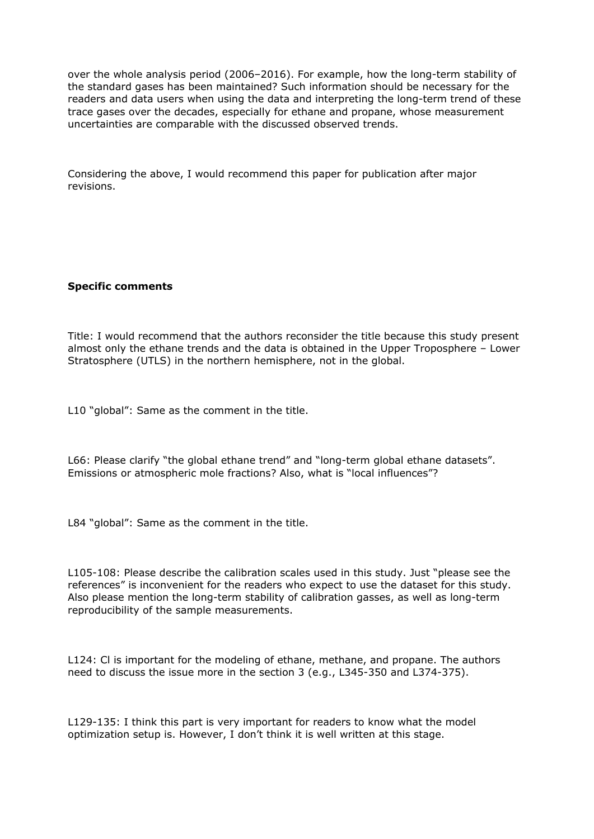over the whole analysis period (2006–2016). For example, how the long-term stability of the standard gases has been maintained? Such information should be necessary for the readers and data users when using the data and interpreting the long-term trend of these trace gases over the decades, especially for ethane and propane, whose measurement uncertainties are comparable with the discussed observed trends.

Considering the above, I would recommend this paper for publication after major revisions.

### **Specific comments**

Title: I would recommend that the authors reconsider the title because this study present almost only the ethane trends and the data is obtained in the Upper Troposphere – Lower Stratosphere (UTLS) in the northern hemisphere, not in the global.

L10 "global": Same as the comment in the title.

L66: Please clarify "the global ethane trend" and "long-term global ethane datasets". Emissions or atmospheric mole fractions? Also, what is "local influences"?

L84 "global": Same as the comment in the title.

L105-108: Please describe the calibration scales used in this study. Just "please see the references" is inconvenient for the readers who expect to use the dataset for this study. Also please mention the long-term stability of calibration gasses, as well as long-term reproducibility of the sample measurements.

L124: Cl is important for the modeling of ethane, methane, and propane. The authors need to discuss the issue more in the section 3 (e.g., L345-350 and L374-375).

L129-135: I think this part is very important for readers to know what the model optimization setup is. However, I don't think it is well written at this stage.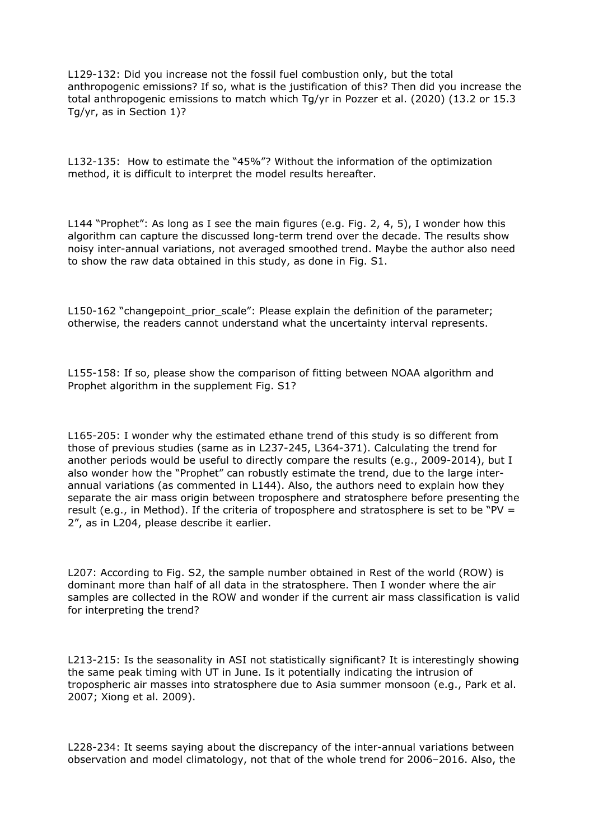L129-132: Did you increase not the fossil fuel combustion only, but the total anthropogenic emissions? If so, what is the justification of this? Then did you increase the total anthropogenic emissions to match which Tg/yr in Pozzer et al. (2020) (13.2 or 15.3 Tg/yr, as in Section 1)?

L132-135: How to estimate the "45%"? Without the information of the optimization method, it is difficult to interpret the model results hereafter.

L144 "Prophet": As long as I see the main figures (e.g. Fig. 2, 4, 5), I wonder how this algorithm can capture the discussed long-term trend over the decade. The results show noisy inter-annual variations, not averaged smoothed trend. Maybe the author also need to show the raw data obtained in this study, as done in Fig. S1.

L150-162 "changepoint prior scale": Please explain the definition of the parameter; otherwise, the readers cannot understand what the uncertainty interval represents.

L155-158: If so, please show the comparison of fitting between NOAA algorithm and Prophet algorithm in the supplement Fig. S1?

L165-205: I wonder why the estimated ethane trend of this study is so different from those of previous studies (same as in L237-245, L364-371). Calculating the trend for another periods would be useful to directly compare the results (e.g., 2009-2014), but I also wonder how the "Prophet" can robustly estimate the trend, due to the large interannual variations (as commented in L144). Also, the authors need to explain how they separate the air mass origin between troposphere and stratosphere before presenting the result (e.g., in Method). If the criteria of troposphere and stratosphere is set to be "PV = 2", as in L204, please describe it earlier.

L207: According to Fig. S2, the sample number obtained in Rest of the world (ROW) is dominant more than half of all data in the stratosphere. Then I wonder where the air samples are collected in the ROW and wonder if the current air mass classification is valid for interpreting the trend?

L213-215: Is the seasonality in ASI not statistically significant? It is interestingly showing the same peak timing with UT in June. Is it potentially indicating the intrusion of tropospheric air masses into stratosphere due to Asia summer monsoon (e.g., Park et al. 2007; Xiong et al. 2009).

L228-234: It seems saying about the discrepancy of the inter-annual variations between observation and model climatology, not that of the whole trend for 2006–2016. Also, the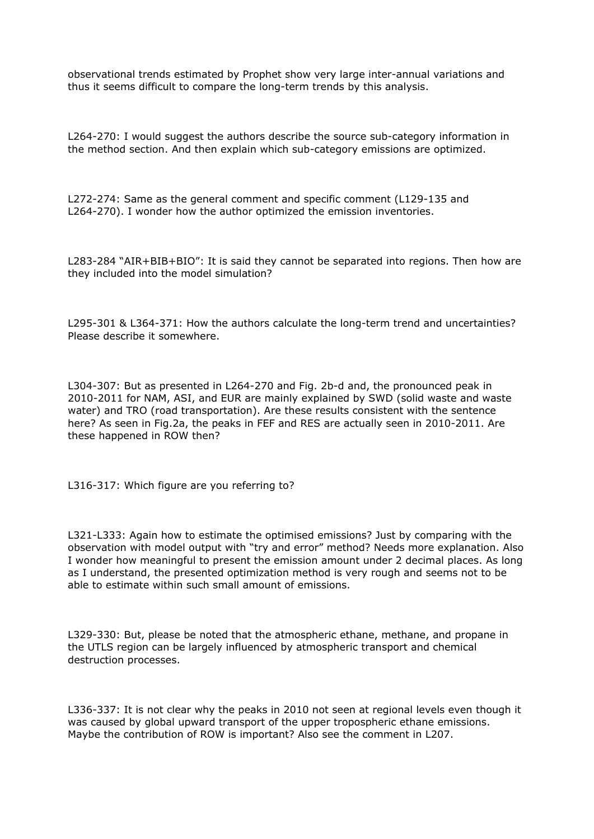observational trends estimated by Prophet show very large inter-annual variations and thus it seems difficult to compare the long-term trends by this analysis.

L264-270: I would suggest the authors describe the source sub-category information in the method section. And then explain which sub-category emissions are optimized.

L272-274: Same as the general comment and specific comment (L129-135 and L264-270). I wonder how the author optimized the emission inventories.

L283-284 "AIR+BIB+BIO": It is said they cannot be separated into regions. Then how are they included into the model simulation?

L295-301 & L364-371: How the authors calculate the long-term trend and uncertainties? Please describe it somewhere.

L304-307: But as presented in L264-270 and Fig. 2b-d and, the pronounced peak in 2010-2011 for NAM, ASI, and EUR are mainly explained by SWD (solid waste and waste water) and TRO (road transportation). Are these results consistent with the sentence here? As seen in Fig.2a, the peaks in FEF and RES are actually seen in 2010-2011. Are these happened in ROW then?

L316-317: Which figure are you referring to?

L321-L333: Again how to estimate the optimised emissions? Just by comparing with the observation with model output with "try and error" method? Needs more explanation. Also I wonder how meaningful to present the emission amount under 2 decimal places. As long as I understand, the presented optimization method is very rough and seems not to be able to estimate within such small amount of emissions.

L329-330: But, please be noted that the atmospheric ethane, methane, and propane in the UTLS region can be largely influenced by atmospheric transport and chemical destruction processes.

L336-337: It is not clear why the peaks in 2010 not seen at regional levels even though it was caused by global upward transport of the upper tropospheric ethane emissions. Maybe the contribution of ROW is important? Also see the comment in L207.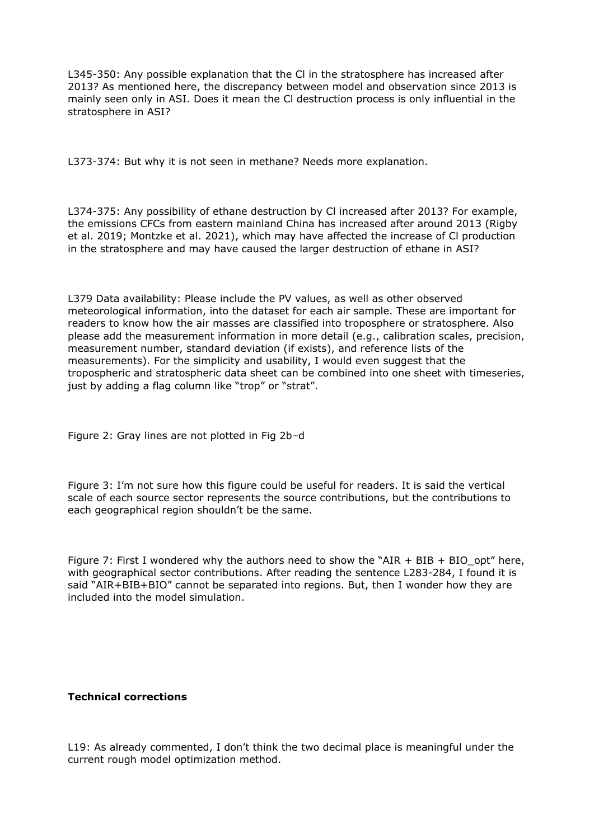L345-350: Any possible explanation that the Cl in the stratosphere has increased after 2013? As mentioned here, the discrepancy between model and observation since 2013 is mainly seen only in ASI. Does it mean the Cl destruction process is only influential in the stratosphere in ASI?

L373-374: But why it is not seen in methane? Needs more explanation.

L374-375: Any possibility of ethane destruction by Cl increased after 2013? For example, the emissions CFCs from eastern mainland China has increased after around 2013 (Rigby et al. 2019; Montzke et al. 2021), which may have affected the increase of Cl production in the stratosphere and may have caused the larger destruction of ethane in ASI?

L379 Data availability: Please include the PV values, as well as other observed meteorological information, into the dataset for each air sample. These are important for readers to know how the air masses are classified into troposphere or stratosphere. Also please add the measurement information in more detail (e.g., calibration scales, precision, measurement number, standard deviation (if exists), and reference lists of the measurements). For the simplicity and usability, I would even suggest that the tropospheric and stratospheric data sheet can be combined into one sheet with timeseries, just by adding a flag column like "trop" or "strat".

Figure 2: Gray lines are not plotted in Fig 2b–d

Figure 3: I'm not sure how this figure could be useful for readers. It is said the vertical scale of each source sector represents the source contributions, but the contributions to each geographical region shouldn't be the same.

Figure 7: First I wondered why the authors need to show the "AIR  $+$  BIB  $+$  BIO\_opt" here, with geographical sector contributions. After reading the sentence L283-284, I found it is said "AIR+BIB+BIO" cannot be separated into regions. But, then I wonder how they are included into the model simulation.

### **Technical corrections**

L19: As already commented, I don't think the two decimal place is meaningful under the current rough model optimization method.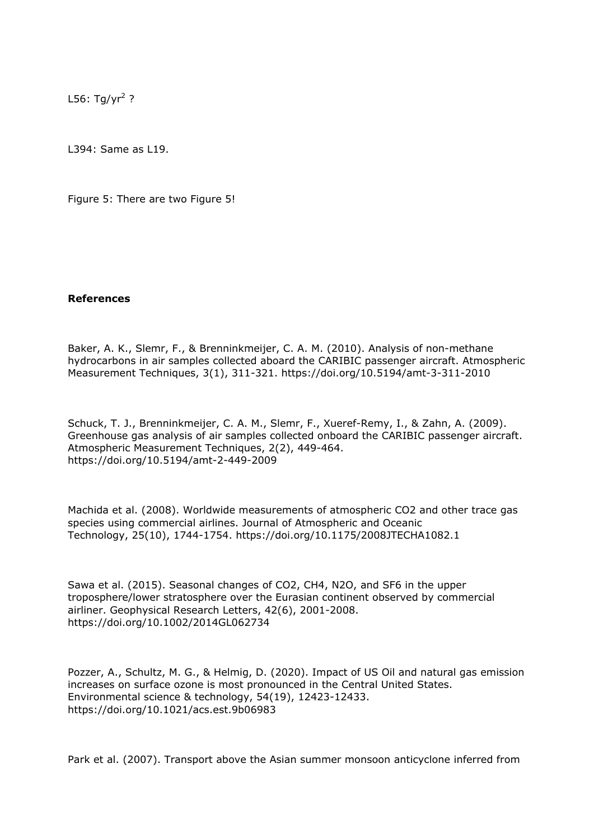L56: Tg/yr<sup>2</sup> ?

L394: Same as L19.

Figure 5: There are two Figure 5!

### **References**

Baker, A. K., Slemr, F., & Brenninkmeijer, C. A. M. (2010). Analysis of non-methane hydrocarbons in air samples collected aboard the CARIBIC passenger aircraft. Atmospheric Measurement Techniques, 3(1), 311-321. https://doi.org/10.5194/amt-3-311-2010

Schuck, T. J., Brenninkmeijer, C. A. M., Slemr, F., Xueref-Remy, I., & Zahn, A. (2009). Greenhouse gas analysis of air samples collected onboard the CARIBIC passenger aircraft. Atmospheric Measurement Techniques, 2(2), 449-464. https://doi.org/10.5194/amt-2-449-2009

Machida et al. (2008). Worldwide measurements of atmospheric CO2 and other trace gas species using commercial airlines. Journal of Atmospheric and Oceanic Technology, 25(10), 1744-1754. https://doi.org/10.1175/2008JTECHA1082.1

Sawa et al. (2015). Seasonal changes of CO2, CH4, N2O, and SF6 in the upper troposphere/lower stratosphere over the Eurasian continent observed by commercial airliner. Geophysical Research Letters, 42(6), 2001-2008. https://doi.org/10.1002/2014GL062734

Pozzer, A., Schultz, M. G., & Helmig, D. (2020). Impact of US Oil and natural gas emission increases on surface ozone is most pronounced in the Central United States. Environmental science & technology, 54(19), 12423-12433. https://doi.org/10.1021/acs.est.9b06983

Park et al. (2007). Transport above the Asian summer monsoon anticyclone inferred from